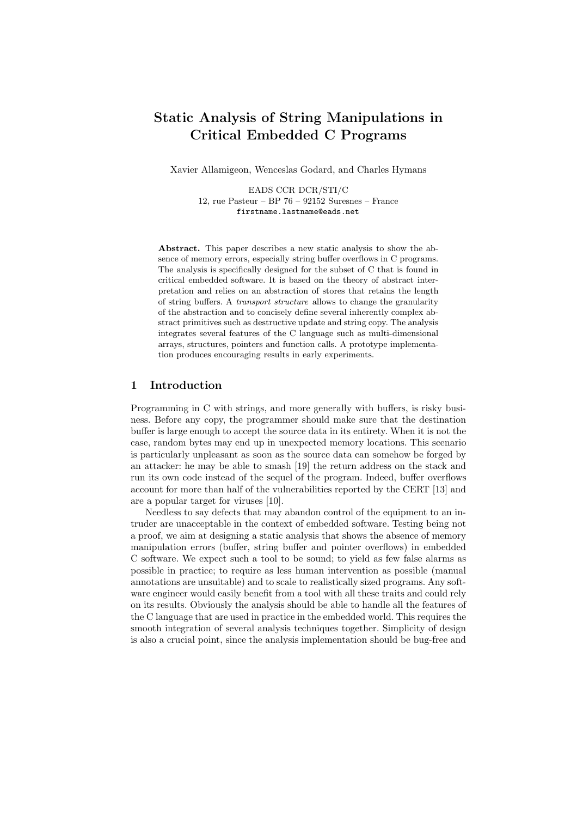# Static Analysis of String Manipulations in Critical Embedded C Programs

Xavier Allamigeon, Wenceslas Godard, and Charles Hymans

EADS CCR DCR/STI/C 12, rue Pasteur – BP 76 – 92152 Suresnes – France firstname.lastname@eads.net

Abstract. This paper describes a new static analysis to show the absence of memory errors, especially string buffer overflows in C programs. The analysis is specifically designed for the subset of C that is found in critical embedded software. It is based on the theory of abstract interpretation and relies on an abstraction of stores that retains the length of string buffers. A transport structure allows to change the granularity of the abstraction and to concisely define several inherently complex abstract primitives such as destructive update and string copy. The analysis integrates several features of the C language such as multi-dimensional arrays, structures, pointers and function calls. A prototype implementation produces encouraging results in early experiments.

## 1 Introduction

Programming in C with strings, and more generally with buffers, is risky business. Before any copy, the programmer should make sure that the destination buffer is large enough to accept the source data in its entirety. When it is not the case, random bytes may end up in unexpected memory locations. This scenario is particularly unpleasant as soon as the source data can somehow be forged by an attacker: he may be able to smash [19] the return address on the stack and run its own code instead of the sequel of the program. Indeed, buffer overflows account for more than half of the vulnerabilities reported by the CERT [13] and are a popular target for viruses [10].

Needless to say defects that may abandon control of the equipment to an intruder are unacceptable in the context of embedded software. Testing being not a proof, we aim at designing a static analysis that shows the absence of memory manipulation errors (buffer, string buffer and pointer overflows) in embedded C software. We expect such a tool to be sound; to yield as few false alarms as possible in practice; to require as less human intervention as possible (manual annotations are unsuitable) and to scale to realistically sized programs. Any software engineer would easily benefit from a tool with all these traits and could rely on its results. Obviously the analysis should be able to handle all the features of the C language that are used in practice in the embedded world. This requires the smooth integration of several analysis techniques together. Simplicity of design is also a crucial point, since the analysis implementation should be bug-free and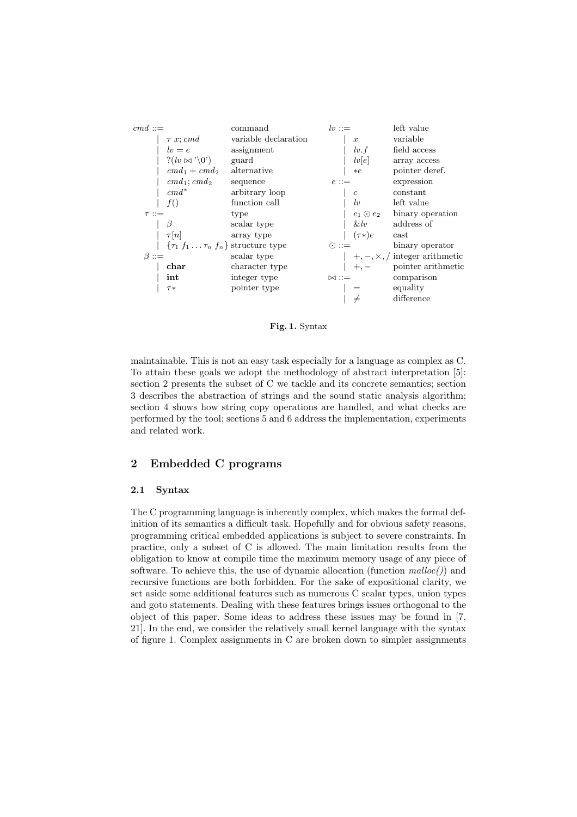

Fig. 1. Syntax

maintainable. This is not an easy task especially for a language as complex as C. To attain these goals we adopt the methodology of abstract interpretation [5]: section 2 presents the subset of C we tackle and its concrete semantics; section 3 describes the abstraction of strings and the sound static analysis algorithm; section 4 shows how string copy operations are handled, and what checks are performed by the tool; sections 5 and 6 address the implementation, experiments and related work.

## 2 Embedded C programs

#### 2.1 Syntax

The C programming language is inherently complex, which makes the formal definition of its semantics a difficult task. Hopefully and for obvious safety reasons, programming critical embedded applications is subject to severe constraints. In practice, only a subset of C is allowed. The main limitation results from the obligation to know at compile time the maximum memory usage of any piece of software. To achieve this, the use of dynamic allocation (function  $\textit{malloc}()$ ) and recursive functions are both forbidden. For the sake of expositional clarity, we set aside some additional features such as numerous C scalar types, union types and goto statements. Dealing with these features brings issues orthogonal to the object of this paper. Some ideas to address these issues may be found in [7, 21]. In the end, we consider the relatively small kernel language with the syntax of figure 1. Complex assignments in C are broken down to simpler assignments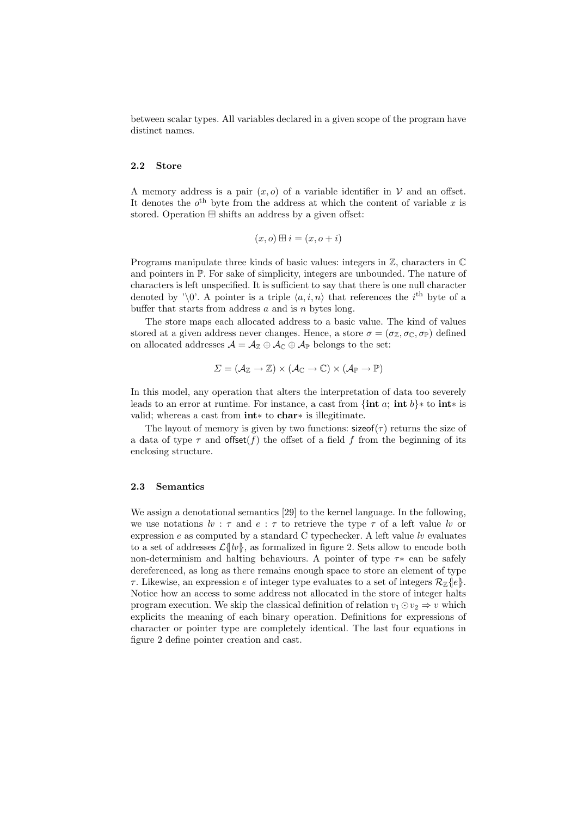between scalar types. All variables declared in a given scope of the program have distinct names.

#### 2.2 Store

A memory address is a pair  $(x, o)$  of a variable identifier in V and an offset. It denotes the  $o<sup>th</sup>$  byte from the address at which the content of variable x is stored. Operation ⊞ shifts an address by a given offset:

$$
(x, o) \boxplus i = (x, o + i)
$$

Programs manipulate three kinds of basic values: integers in  $\mathbb{Z}$ , characters in  $\mathbb{C}$ and pointers in  $\mathbb P$ . For sake of simplicity, integers are unbounded. The nature of characters is left unspecified. It is sufficient to say that there is one null character denoted by '\0'. A pointer is a triple  $\langle a, i, n \rangle$  that references the i<sup>th</sup> byte of a buffer that starts from address a and is n bytes long.

The store maps each allocated address to a basic value. The kind of values stored at a given address never changes. Hence, a store  $\sigma = (\sigma_{\mathbb{Z}}, \sigma_{\mathbb{C}}, \sigma_{\mathbb{P}})$  defined on allocated addresses  $\mathcal{A} = \mathcal{A}_{\mathbb{Z}} \oplus \mathcal{A}_{\mathbb{C}} \oplus \mathcal{A}_{\mathbb{P}}$  belongs to the set:

$$
\Sigma = (\mathcal{A}_{\mathbb{Z}} \to \mathbb{Z}) \times (\mathcal{A}_{\mathbb{C}} \to \mathbb{C}) \times (\mathcal{A}_{\mathbb{P}} \to \mathbb{P})
$$

In this model, any operation that alters the interpretation of data too severely leads to an error at runtime. For instance, a cast from  $\{\text{int } a; \text{int } b\} *$  to  $\text{int} *$  is valid; whereas a cast from int∗ to char∗ is illegitimate.

The layout of memory is given by two functions:  $\mathsf{sizeof}(\tau)$  returns the size of a data of type  $\tau$  and offset(f) the offset of a field f from the beginning of its enclosing structure.

#### 2.3 Semantics

We assign a denotational semantics [29] to the kernel language. In the following, we use notations  $lv : \tau$  and  $e : \tau$  to retrieve the type  $\tau$  of a left value lv or expression  $e$  as computed by a standard C typechecker. A left value lv evaluates to a set of addresses  $\mathcal{L}\{||u||\}$ , as formalized in figure 2. Sets allow to encode both non-determinism and halting behaviours. A pointer of type  $\tau$  can be safely dereferenced, as long as there remains enough space to store an element of type  $\tau$ . Likewise, an expression e of integer type evaluates to a set of integers  $\mathcal{R}_{\mathbb{Z}}\{e\}$ . Notice how an access to some address not allocated in the store of integer halts program execution. We skip the classical definition of relation  $v_1 \odot v_2 \Rightarrow v$  which explicits the meaning of each binary operation. Definitions for expressions of character or pointer type are completely identical. The last four equations in figure 2 define pointer creation and cast.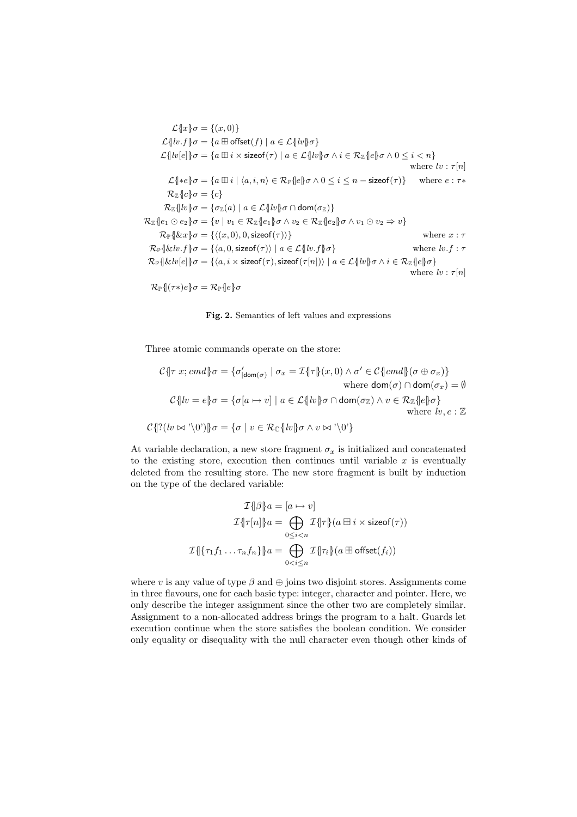$$
\mathcal{L}\{x\}\sigma = \{(x,0)\}\
$$
\n
$$
\mathcal{L}\{lv.f\}\sigma = \{a \boxplus \text{offset}(f) \mid a \in \mathcal{L}\{lv\}\sigma\}
$$
\n
$$
\mathcal{L}\{lv[e]\}\sigma = \{a \boxplus i \times \text{sizeof}(\tau) \mid a \in \mathcal{L}\{lv\}\sigma \land i \in \mathcal{R}_{\mathbb{Z}}\{e\}\sigma \land 0 \leq i < n\}
$$
\nwhere  $lv : \tau[n]$ \n
$$
\mathcal{L}\{\ast e\}\sigma = \{a \boxplus i \mid \langle a, i, n \rangle \in \mathcal{R}_{\mathbb{P}}\{e\}\sigma \land 0 \leq i \leq n - \text{sizeof}(\tau)\}
$$
\nwhere  $l : \tau[n]$ \n
$$
\mathcal{L}\{\ast e\}\sigma = \{c\}
$$
\n
$$
\mathcal{R}_{\mathbb{Z}}\{lc\}\sigma = \{c\}
$$
\n
$$
\mathcal{R}_{\mathbb{Z}}\{lv\}\sigma = \{\sigma_{\mathbb{Z}}(a) \mid a \in \mathcal{L}\{lv\}\sigma \cap \text{dom}(\sigma_{\mathbb{Z}})\}
$$
\n
$$
\mathcal{R}_{\mathbb{Z}}\{e_1 \odot e_2\}\sigma = \{v \mid v_1 \in \mathcal{R}_{\mathbb{Z}}\{e_1\}\sigma \land v_2 \in \mathcal{R}_{\mathbb{Z}}\{e_2\}\sigma \land v_1 \odot v_2 \Rightarrow v\}
$$
\n
$$
\mathcal{R}_{\mathbb{P}}\{\&z\}\sigma = \{\langle (x,0), 0, \text{sizeof}(\tau) \rangle\}
$$
\nwhere  $x : \tau$ \n
$$
\mathcal{R}_{\mathbb{P}}\{\&lv[v.f]\}\sigma = \{\langle a, i, \text{sizeof}(\tau) \rangle \mid a \in \mathcal{L}\{lv.f\}\sigma\}
$$
\nwhere  $lv : f : \tau$ \n
$$
\mathcal{R}_{\mathbb{P}}\{\&lv[e]\}\sigma = \{\langle a, i \times \text{sizeof}(\tau), \text{sizeof}(\tau[n]) \rangle \mid a \in \mathcal{L}\{lv\}\sigma \land i \in \mathcal{R}_{\mathbb{Z}}\{e\}\sigma\}
$$
\nwhere  $lv : \tau$ 

Fig. 2. Semantics of left values and expressions

Three atomic commands operate on the store:

$$
\mathcal{C}\{\tau \ x; cmd\}\sigma = \{\sigma'_{\mathsf{dom}(\sigma)} \mid \sigma_x = \mathcal{I}\{\tau\}(x,0) \land \sigma' \in \mathcal{C}\}\{cmd\}(\sigma \oplus \sigma_x)\}
$$
\nwhere  $\mathsf{dom}(\sigma) \cap \mathsf{dom}(\sigma_x) = \emptyset$   
\n
$$
\mathcal{C}\{|lv = e\}\sigma = \{\sigma[a \mapsto v] \mid a \in \mathcal{L}\{lv\}\sigma \cap \mathsf{dom}(\sigma_x) \land v \in \mathcal{R}_{\mathbb{Z}}\{e\}\sigma\}
$$
\nwhere  $lv, e : \mathbb{Z}$   
\n
$$
\mathcal{C}\{|?(lv \bowtie \neg\vee 0')\}\sigma = \{\sigma \mid v \in \mathcal{R}_{\mathbb{C}}\{|lv\}\sigma \land v \bowtie \neg\vee 0'\}
$$

At variable declaration, a new store fragment  $\sigma_x$  is initialized and concatenated to the existing store, execution then continues until variable  $x$  is eventually deleted from the resulting store. The new store fragment is built by induction on the type of the declared variable:

$$
\mathcal{I}\{\beta\}a = [a \mapsto v]
$$

$$
\mathcal{I}\{\tau[n]\}a = \bigoplus_{0 \le i < n} \mathcal{I}\{\tau\}(a \boxplus i < \text{sizeof}(\tau))
$$

$$
\mathcal{I}\{\{\tau_1 f_1 \dots \tau_n f_n\}\}a = \bigoplus_{0 < i \le n} \mathcal{I}\{\tau_i\}(a \boxplus \text{offset}(f_i))
$$

where v is any value of type  $\beta$  and  $\oplus$  joins two disjoint stores. Assignments come in three flavours, one for each basic type: integer, character and pointer. Here, we only describe the integer assignment since the other two are completely similar. Assignment to a non-allocated address brings the program to a halt. Guards let execution continue when the store satisfies the boolean condition. We consider only equality or disequality with the null character even though other kinds of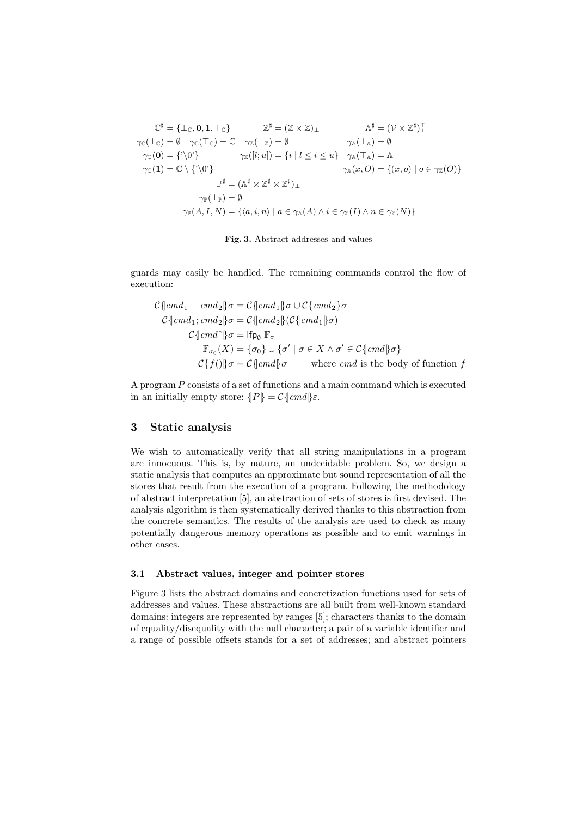$$
\mathbb{C}^{\sharp} = \{\bot_{\mathbb{C}}, \mathbf{0}, \mathbf{1}, \top_{\mathbb{C}}\} \qquad \mathbb{Z}^{\sharp} = (\overline{\mathbb{Z}} \times \overline{\mathbb{Z}})_{\bot} \qquad \mathbb{A}^{\sharp} = (\mathcal{V} \times \mathbb{Z}^{\sharp})_{\bot}^{\top}
$$
  
\n
$$
\gamma_{\mathbb{C}}(\bot_{\mathbb{C}}) = \emptyset \qquad \gamma_{\mathbb{C}}(\top_{\mathbb{C}}) = \mathbb{C} \qquad \gamma_{\mathbb{Z}}(\bot_{\mathbb{Z}}) = \emptyset \qquad \gamma_{\mathbb{A}}(\bot_{\mathbb{A}}) = \emptyset
$$
  
\n
$$
\gamma_{\mathbb{C}}(\mathbf{0}) = \{\check{\ } \backslash 0\}' \qquad \gamma_{\mathbb{Z}}([l; u]) = \{i \mid l \le i \le u\} \qquad \gamma_{\mathbb{A}}(\top_{\mathbb{A}}) = \mathbb{A}
$$
  
\n
$$
\gamma_{\mathbb{C}}(\mathbf{1}) = \mathbb{C} \setminus \{\check{\ } \backslash 0\}' \qquad \qquad \gamma_{\mathbb{P}}(\bot_{\mathbb{P}}) = \emptyset
$$
  
\n
$$
\gamma_{\mathbb{P}}(\bot_{\mathbb{P}}) = \emptyset
$$
  
\n
$$
\gamma_{\mathbb{P}}(A, I, N) = \{\langle a, i, n \rangle \mid a \in \gamma_{\mathbb{A}}(A) \land i \in \gamma_{\mathbb{Z}}(I) \land n \in \gamma_{\mathbb{Z}}(N)\}
$$

Fig. 3. Abstract addresses and values

guards may easily be handled. The remaining commands control the flow of execution:

$$
C \{cmd_1 + cmd_2\} \sigma = C \{cmd_1\} \sigma \cup C \{cmd_2\} \sigma
$$
  
\n
$$
C \{cmd_1; cmd_2\} \sigma = C \{cmd_2\} (C \{cmd_1\} \sigma)
$$
  
\n
$$
C \{cmd^*\} \sigma = \mathsf{lfp}_\emptyset \ \mathbb{F}_\sigma
$$
  
\n
$$
\mathbb{F}_{\sigma_0}(X) = \{\sigma_0\} \cup \{\sigma' \mid \sigma \in X \land \sigma' \in C \{cmd\} \sigma\}
$$
  
\n
$$
C \{f()\} \sigma = C \{cmd\} \sigma
$$
 where *cmd* is the body of function *f*

A program P consists of a set of functions and a main command which is executed in an initially empty store:  $\{P\} = \mathcal{C} \{cmd\}\varepsilon$ .

## 3 Static analysis

We wish to automatically verify that all string manipulations in a program are innocuous. This is, by nature, an undecidable problem. So, we design a static analysis that computes an approximate but sound representation of all the stores that result from the execution of a program. Following the methodology of abstract interpretation [5], an abstraction of sets of stores is first devised. The analysis algorithm is then systematically derived thanks to this abstraction from the concrete semantics. The results of the analysis are used to check as many potentially dangerous memory operations as possible and to emit warnings in other cases.

#### 3.1 Abstract values, integer and pointer stores

Figure 3 lists the abstract domains and concretization functions used for sets of addresses and values. These abstractions are all built from well-known standard domains: integers are represented by ranges [5]; characters thanks to the domain of equality/disequality with the null character; a pair of a variable identifier and a range of possible offsets stands for a set of addresses; and abstract pointers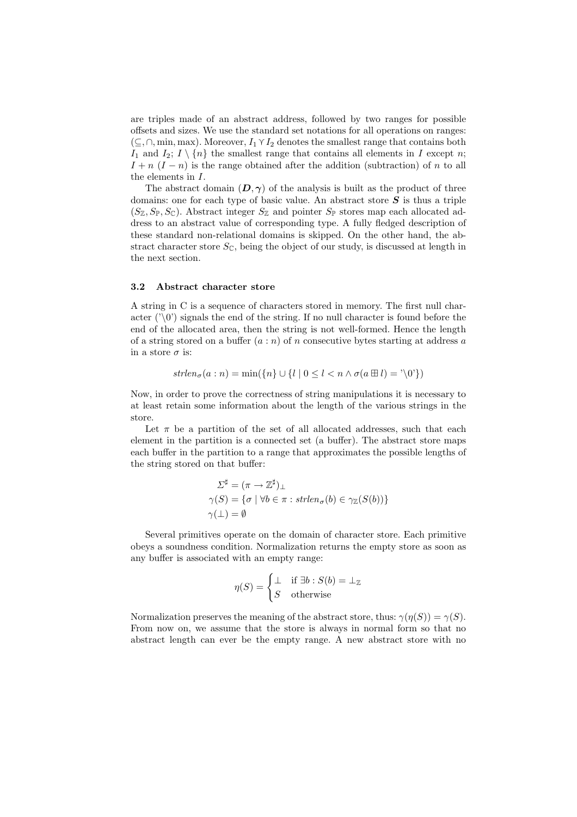are triples made of an abstract address, followed by two ranges for possible offsets and sizes. We use the standard set notations for all operations on ranges:  $(\subseteq, \cap, \min, \max)$ . Moreover,  $I_1 \vee I_2$  denotes the smallest range that contains both  $I_1$  and  $I_2$ ;  $I \setminus \{n\}$  the smallest range that contains all elements in I except n;  $I + n (I - n)$  is the range obtained after the addition (subtraction) of n to all the elements in I.

The abstract domain  $(D, \gamma)$  of the analysis is built as the product of three domains: one for each type of basic value. An abstract store  $S$  is thus a triple  $(S_{\mathbb{Z}}, S_{\mathbb{P}}, S_{\mathbb{C}})$ . Abstract integer  $S_{\mathbb{Z}}$  and pointer  $S_{\mathbb{P}}$  stores map each allocated address to an abstract value of corresponding type. A fully fledged description of these standard non-relational domains is skipped. On the other hand, the abstract character store  $S_{\mathbb{C}}$ , being the object of our study, is discussed at length in the next section.

#### 3.2 Abstract character store

A string in C is a sequence of characters stored in memory. The first null character  $(\sqrt{0})$  signals the end of the string. If no null character is found before the end of the allocated area, then the string is not well-formed. Hence the length of a string stored on a buffer  $(a : n)$  of n consecutive bytes starting at address a in a store  $\sigma$  is:

$$
strlen_{\sigma}(a:n) = \min(\{n\} \cup \{l \mid 0 \le l < n \land \sigma(a \boxplus l) = \text{'\{0'\}})
$$

Now, in order to prove the correctness of string manipulations it is necessary to at least retain some information about the length of the various strings in the store.

Let  $\pi$  be a partition of the set of all allocated addresses, such that each element in the partition is a connected set (a buffer). The abstract store maps each buffer in the partition to a range that approximates the possible lengths of the string stored on that buffer:

$$
\Sigma^{\sharp} = (\pi \to \mathbb{Z}^{\sharp})_{\perp}
$$
  
\n
$$
\gamma(S) = \{ \sigma \mid \forall b \in \pi : \operatorname{strlen}_{\sigma}(b) \in \gamma_{\mathbb{Z}}(S(b)) \}
$$
  
\n
$$
\gamma(\perp) = \emptyset
$$

Several primitives operate on the domain of character store. Each primitive obeys a soundness condition. Normalization returns the empty store as soon as any buffer is associated with an empty range:

$$
\eta(S) = \begin{cases} \bot & \text{if } \exists b : S(b) = \bot_{\mathbb{Z}} \\ S & \text{otherwise} \end{cases}
$$

Normalization preserves the meaning of the abstract store, thus:  $\gamma(\eta(S)) = \gamma(S)$ . From now on, we assume that the store is always in normal form so that no abstract length can ever be the empty range. A new abstract store with no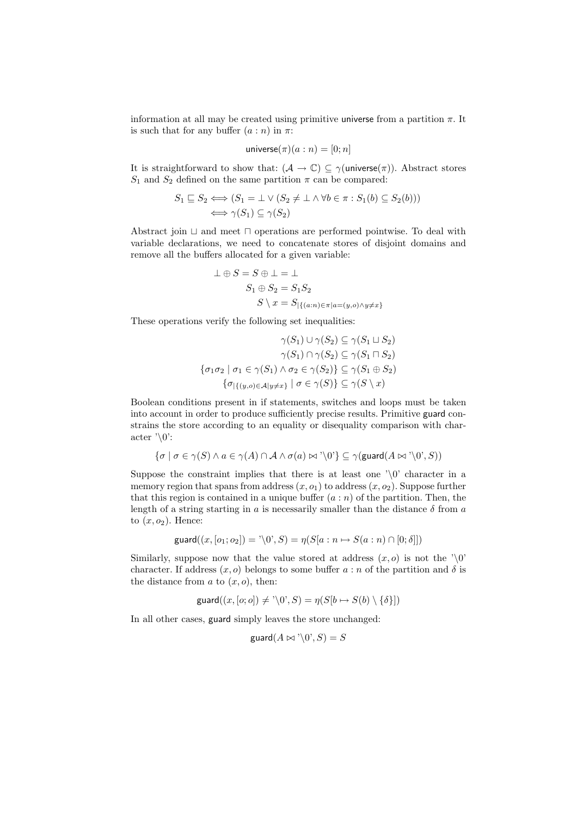information at all may be created using primitive universe from a partition  $\pi$ . It is such that for any buffer  $(a : n)$  in  $\pi$ :

$$
\mathsf{universe}(\pi)(a:n) = [0;n]
$$

It is straightforward to show that:  $(A \to \mathbb{C}) \subseteq \gamma(\text{universe}(\pi))$ . Abstract stores  $S_1$  and  $S_2$  defined on the same partition  $\pi$  can be compared:

$$
S_1 \sqsubseteq S_2 \Longleftrightarrow (S_1 = \bot \lor (S_2 \neq \bot \land \forall b \in \pi : S_1(b) \subseteq S_2(b)))
$$
  

$$
\Longleftrightarrow \gamma(S_1) \subseteq \gamma(S_2)
$$

Abstract join ⊔ and meet ⊓ operations are performed pointwise. To deal with variable declarations, we need to concatenate stores of disjoint domains and remove all the buffers allocated for a given variable:

$$
\bot \oplus S = S \oplus \bot = \bot
$$
  
\n
$$
S_1 \oplus S_2 = S_1 S_2
$$
  
\n
$$
S \setminus x = S_{|\{(a:n) \in \pi | a = (y,o) \land y \neq x\}}
$$

These operations verify the following set inequalities:

$$
\gamma(S_1) \cup \gamma(S_2) \subseteq \gamma(S_1 \cup S_2)
$$

$$
\gamma(S_1) \cap \gamma(S_2) \subseteq \gamma(S_1 \cap S_2)
$$

$$
\{\sigma_1 \sigma_2 \mid \sigma_1 \in \gamma(S_1) \land \sigma_2 \in \gamma(S_2)\} \subseteq \gamma(S_1 \oplus S_2)
$$

$$
\{\sigma_{|\{(y,o)\in \mathcal{A}|y \neq x\}} \mid \sigma \in \gamma(S)\} \subseteq \gamma(S \setminus x)
$$

Boolean conditions present in if statements, switches and loops must be taken into account in order to produce sufficiently precise results. Primitive guard constrains the store according to an equality or disequality comparison with character  $'\0$ :

$$
\{\sigma \mid \sigma \in \gamma(S) \land a \in \gamma(A) \cap A \land \sigma(a) \bowtie \langle 0 \rangle\} \subseteq \gamma(\mathsf{guard}(A \bowtie \langle 0 \rangle, S))
$$

Suppose the constraint implies that there is at least one  $\sqrt{0}$  character in a memory region that spans from address  $(x, o_1)$  to address  $(x, o_2)$ . Suppose further that this region is contained in a unique buffer  $(a : n)$  of the partition. Then, the length of a string starting in a is necessarily smaller than the distance  $\delta$  from a to  $(x, o_2)$ . Hence:

$$
\mathsf{guard}((x, [o_1; o_2]) = \langle 0, S \rangle = \eta(S[a : n \mapsto S(a : n) \cap [0; \delta]])
$$

Similarly, suppose now that the value stored at address  $(x, o)$  is not the '\0' character. If address  $(x, o)$  belongs to some buffer  $a : n$  of the partition and  $\delta$  is the distance from  $a$  to  $(x, o)$ , then:

$$
\text{guard}((x, [o; o]) \neq \text{'\textbackslash} 0', S) = \eta(S[b \mapsto S(b) \setminus \{\delta\}])
$$

In all other cases, guard simply leaves the store unchanged:

$$
\mathsf{guard}(A \bowtie \text{'\textbackslash} 0', S) = S
$$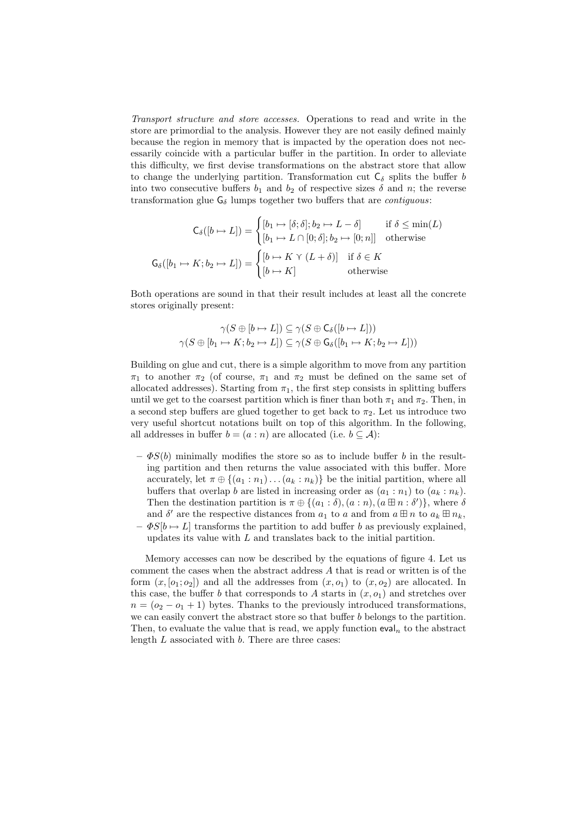Transport structure and store accesses. Operations to read and write in the store are primordial to the analysis. However they are not easily defined mainly because the region in memory that is impacted by the operation does not necessarily coincide with a particular buffer in the partition. In order to alleviate this difficulty, we first devise transformations on the abstract store that allow to change the underlying partition. Transformation cut  $C_{\delta}$  splits the buffer b into two consecutive buffers  $b_1$  and  $b_2$  of respective sizes  $\delta$  and n; the reverse transformation glue  $G_{\delta}$  lumps together two buffers that are *contiguous*:

$$
\mathsf{C}_{\delta}([b \mapsto L]) = \begin{cases} [b_1 \mapsto [\delta; \delta]; b_2 \mapsto L - \delta] & \text{if } \delta \le \min(L) \\ [b_1 \mapsto L \cap [0; \delta]; b_2 \mapsto [0; n]] & \text{otherwise} \end{cases}
$$
\n
$$
\mathsf{G}_{\delta}([b_1 \mapsto K; b_2 \mapsto L]) = \begin{cases} [b \mapsto K \vee (L + \delta)] & \text{if } \delta \in K \\ [b \mapsto K] & \text{otherwise} \end{cases}
$$

Both operations are sound in that their result includes at least all the concrete stores originally present:

$$
\gamma(S \oplus [b \mapsto L]) \subseteq \gamma(S \oplus C_{\delta}([b \mapsto L]))
$$
  

$$
\gamma(S \oplus [b_1 \mapsto K; b_2 \mapsto L]) \subseteq \gamma(S \oplus G_{\delta}([b_1 \mapsto K; b_2 \mapsto L]))
$$

Building on glue and cut, there is a simple algorithm to move from any partition  $\pi_1$  to another  $\pi_2$  (of course,  $\pi_1$  and  $\pi_2$  must be defined on the same set of allocated addresses). Starting from  $\pi_1$ , the first step consists in splitting buffers until we get to the coarsest partition which is finer than both  $\pi_1$  and  $\pi_2$ . Then, in a second step buffers are glued together to get back to  $\pi_2$ . Let us introduce two very useful shortcut notations built on top of this algorithm. In the following, all addresses in buffer  $b = (a : n)$  are allocated (i.e.  $b \subseteq \mathcal{A}$ ):

- $\Phi S(b)$  minimally modifies the store so as to include buffer b in the resulting partition and then returns the value associated with this buffer. More accurately, let  $\pi \oplus \{(a_1 : n_1) \dots (a_k : n_k)\}\)$  be the initial partition, where all buffers that overlap b are listed in increasing order as  $(a_1 : n_1)$  to  $(a_k : n_k)$ . Then the destination partition is  $\pi \oplus \{(a_1 : \delta), (a : n), (a \boxplus n : \delta')\}$ , where  $\delta$ and  $\delta'$  are the respective distances from  $a_1$  to  $a$  and from  $a \boxplus n$  to  $a_k \boxplus n_k$ ,
- $-\Phi S[b \mapsto L]$  transforms the partition to add buffer b as previously explained, updates its value with L and translates back to the initial partition.

Memory accesses can now be described by the equations of figure 4. Let us comment the cases when the abstract address A that is read or written is of the form  $(x, [o_1; o_2])$  and all the addresses from  $(x, o_1)$  to  $(x, o_2)$  are allocated. In this case, the buffer b that corresponds to A starts in  $(x, o_1)$  and stretches over  $n = (o_2 - o_1 + 1)$  bytes. Thanks to the previously introduced transformations, we can easily convert the abstract store so that buffer b belongs to the partition. Then, to evaluate the value that is read, we apply function  $eval_n$  to the abstract length  $L$  associated with  $b$ . There are three cases: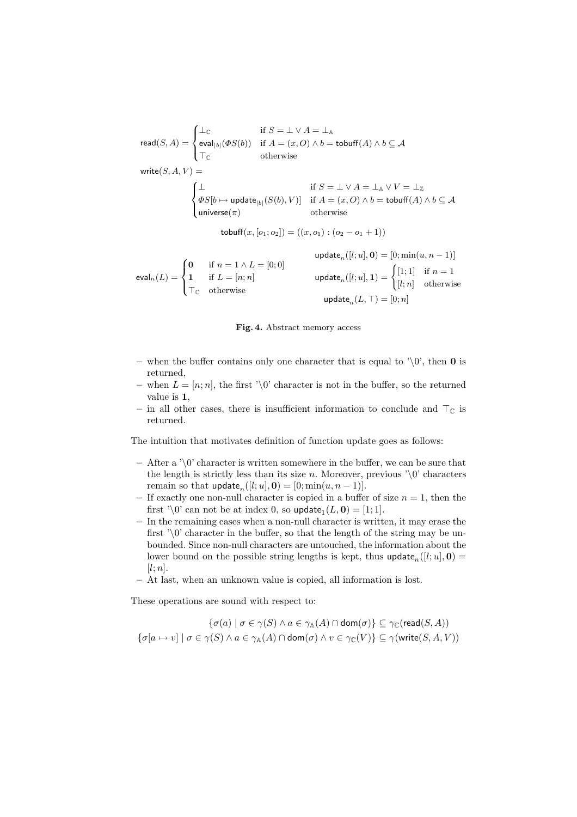$$
\text{read}(S, A) = \begin{cases} \bot_{\mathbb{C}} & \text{if } S = \bot \vee A = \bot_{\mathbb{A}} \\ \text{eval}_{|b|}(\Phi S(b)) & \text{if } A = (x, O) \wedge b = \text{tobuff}(A) \wedge b \subseteq A \\ \top_{\mathbb{C}} & \text{otherwise} \end{cases}
$$
\n
$$
\text{write}(S, A, V) = \begin{cases} \bot & \text{if } S = \bot \vee A = \bot_{\mathbb{A}} \vee V = \bot_{\mathbb{Z}} \\ \Phi S[b \mapsto \text{update}_{|b|}(S(b), V)] & \text{if } A = (x, O) \wedge b = \text{tobuff}(A) \wedge b \subseteq A \\ \text{universe}(\pi) & \text{otherwise} \end{cases}
$$
\n
$$
\text{tobuff}(x, [o_1; o_2]) = ((x, o_1) : (o_2 - o_1 + 1))
$$

$$
\text{eval}_n(L) = \begin{cases} \n0 & \text{if } n = 1 \land L = [0; 0] \\ \n1 & \text{if } L = [n; n] \\ \n\top_{\mathbb{C}} & \text{otherwise} \n\end{cases} \qquad \text{update}_n([l; u], \mathbf{0}) = [0; \min(u, n - 1)] \\ \text{update}_n([l; u], \mathbf{1}) = \begin{cases} \n[1; 1] & \text{if } n = 1 \\ \n[l; n] & \text{otherwise} \n\end{cases}
$$



- when the buffer contains only one character that is equal to  $\Diamond 0$ , then 0 is returned,
- when  $L = [n; n]$ , the first '\0' character is not in the buffer, so the returned value is 1,
- in all other cases, there is insufficient information to conclude and  $\top_{\mathbb{C}}$  is returned.

The intuition that motivates definition of function update goes as follows:

- After a  $\Diamond$  character is written somewhere in the buffer, we can be sure that the length is strictly less than its size *n*. Moreover, previous  $\sqrt{0'}$  characters remain so that  $update_n([l; u], \mathbf{0}) = [0; min(u, n - 1)].$
- If exactly one non-null character is copied in a buffer of size  $n = 1$ , then the first '\0' can not be at index 0, so  $\text{update}_1(L, \mathbf{0}) = [1; 1].$
- In the remaining cases when a non-null character is written, it may erase the first  $\Diamond$  character in the buffer, so that the length of the string may be unbounded. Since non-null characters are untouched, the information about the lower bound on the possible string lengths is kept, thus  $update_n([l; u], 0) =$  $[l; n]$ .
- At last, when an unknown value is copied, all information is lost.

These operations are sound with respect to:

$$
\{\sigma(a) \mid \sigma \in \gamma(S) \land a \in \gamma_{\mathbb{A}}(A) \cap \text{dom}(\sigma)\} \subseteq \gamma_{\mathbb{C}}(\text{read}(S, A))
$$

$$
\{\sigma[a \mapsto v] \mid \sigma \in \gamma(S) \land a \in \gamma_{\mathbb{A}}(A) \cap \text{dom}(\sigma) \land v \in \gamma_{\mathbb{C}}(V)\} \subseteq \gamma(\text{write}(S, A, V))
$$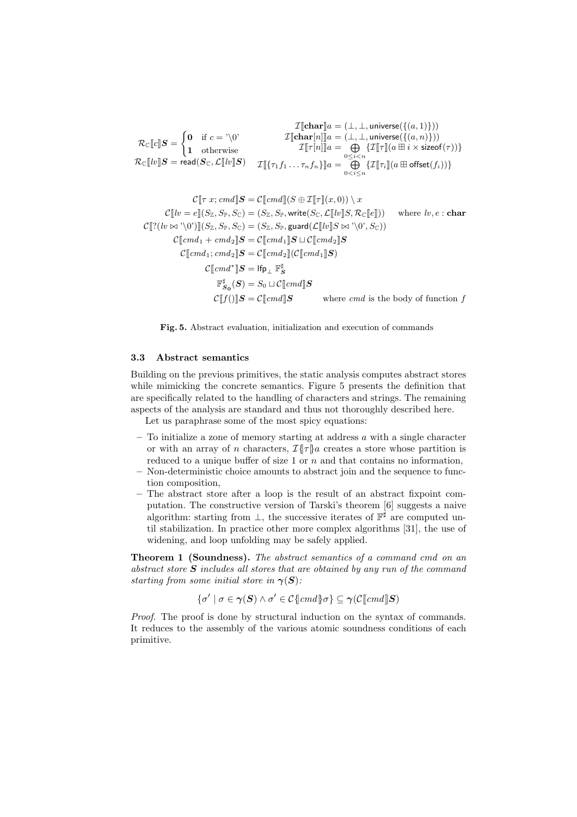$$
\mathcal{R}_{\mathbb{C}}[\![c]\!] \mathcal{S} = \begin{cases} \mathbf{0} & \text{if } c = \text{``}\mathbb{O}^{\prime} \\ \mathbf{1} & \text{otherwise} \end{cases} \qquad \qquad \mathcal{I}[\![\mathbf{char}[n]\!] \mathbf{a} = (\bot, \bot, \mathbf{universe}(\{(a, 1)\})) \\ \mathbf{1} & \text{otherwise} \end{cases} \\ \mathcal{R}_{\mathbb{C}}[\![lv]\!] \mathcal{S} = \text{read}(\mathcal{S}_{\mathbb{C}}, \mathcal{L}[\![lv]\!] \mathcal{S}) \qquad \mathcal{I}[\![\{\tau_1 f_1 \dots \tau_n f_n\}]\!] \mathbf{a} = \bigoplus_{0 \leq i \leq n} \{\mathcal{I}[\![\tau_i]\!](a \boxplus \mathbf{o}\text{-ffset}(f_i))\}
$$

$$
\mathcal{C}[\![\tau x; cmd]\!]S = \mathcal{C}[\![cmd]\!](S \oplus \mathcal{I}[\![\tau]\!](x,0)) \setminus x
$$
  

$$
\mathcal{C}[\![lv = e]\!](S_{\mathbb{Z}}, S_{\mathbb{P}}, S_{\mathbb{C}}) = (S_{\mathbb{Z}}, S_{\mathbb{P}}, \text{write}(S_{\mathbb{C}}, \mathcal{L}[\![lv]\!]S, \mathcal{R}_{\mathbb{C}}[\![e]\!])) \quad \text{where } \text{ } w, e : \text{char}
$$
  

$$
\mathcal{C}[\![?(\text{ } l v \bowtie \text{'} \backslash 0')]\!](S_{\mathbb{Z}}, S_{\mathbb{P}}, S_{\mathbb{C}}) = (S_{\mathbb{Z}}, S_{\mathbb{P}}, \text{guard}(\mathcal{L}[\![lv]\!]S \bowtie \text{'} \backslash 0', S_{\mathbb{C}}))
$$
  

$$
\mathcal{C}[\![cmd_1 + cmd_2]\!]S = \mathcal{C}[\![cmd_1]\!]S \sqcup \mathcal{C}[\![cmd_2]\!]S
$$
  

$$
\mathcal{C}[\![cmd_1; cmd_2]\!]S = \mathcal{C}[\![cmd_2]\!](\mathcal{C}[\![cmd_1]\!]S)
$$
  

$$
\mathcal{C}[\![cmd^*]\!]S = \text{lip}_\bot \ \mathbb{F}_S^\sharp
$$
  

$$
\mathbb{F}_{S_0}^\sharp(S) = S_0 \sqcup \mathcal{C}[\![cmd]\!]S \qquad \text{where } \text{cmd is the body of function } f
$$

Fig. 5. Abstract evaluation, initialization and execution of commands

### 3.3 Abstract semantics

Building on the previous primitives, the static analysis computes abstract stores while mimicking the concrete semantics. Figure 5 presents the definition that are specifically related to the handling of characters and strings. The remaining aspects of the analysis are standard and thus not thoroughly described here.

Let us paraphrase some of the most spicy equations:

- $-$  To initialize a zone of memory starting at address  $\alpha$  with a single character or with an array of n characters,  $\mathcal{I}\{\tau\}$ a creates a store whose partition is reduced to a unique buffer of size 1 or  $n$  and that contains no information,
- Non-deterministic choice amounts to abstract join and the sequence to function composition,
- The abstract store after a loop is the result of an abstract fixpoint computation. The constructive version of Tarski's theorem [6] suggests a naive algorithm: starting from  $\perp$ , the successive iterates of  $\mathbb{F}^{\sharp}$  are computed until stabilization. In practice other more complex algorithms [31], the use of widening, and loop unfolding may be safely applied.

Theorem 1 (Soundness). The abstract semantics of a command cmd on an abstract store  $S$  includes all stores that are obtained by any run of the command starting from some initial store in  $\gamma(S)$ :

$$
\{\sigma' \mid \sigma \in \gamma(\mathbf{S}) \land \sigma' \in \mathcal{C} \{ \text{cmd} \} \sigma \} \subseteq \gamma(\mathcal{C}[\![\text{cmd}]\!] \mathbf{S})
$$

Proof. The proof is done by structural induction on the syntax of commands. It reduces to the assembly of the various atomic soundness conditions of each primitive.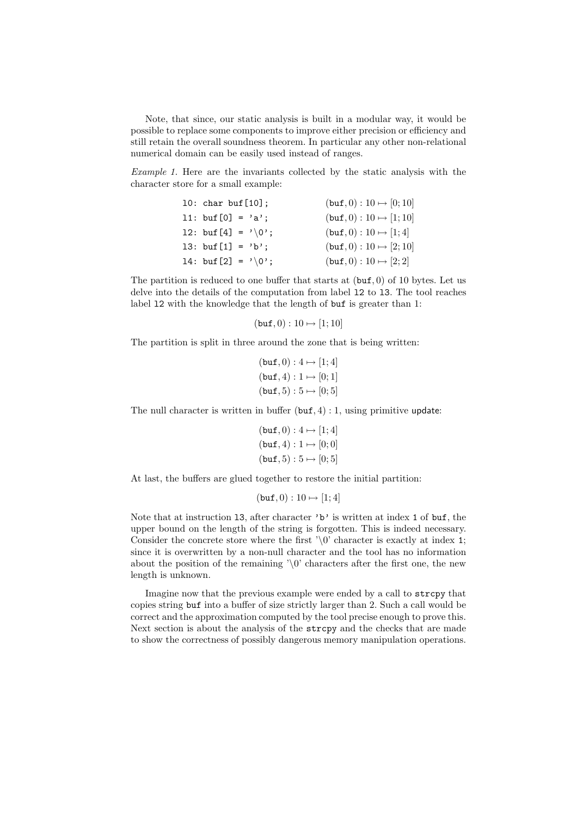Note, that since, our static analysis is built in a modular way, it would be possible to replace some components to improve either precision or efficiency and still retain the overall soundness theorem. In particular any other non-relational numerical domain can be easily used instead of ranges.

Example 1. Here are the invariants collected by the static analysis with the character store for a small example:

| 10: $char$ buf $[10]$ ;    | $(buf, 0): 10 \mapsto [0; 10]$ |
|----------------------------|--------------------------------|
| 11: buf $[0] = 'a';$       | $(buf, 0): 10 \mapsto [1; 10]$ |
| 12: buf [4] = $\sqrt{0}$ ; | $(buf, 0): 10 \mapsto [1; 4]$  |
| 13: buf $[1] = 'b';$       | $(buf, 0): 10 \mapsto [2; 10]$ |
| 14: buf [2] = $\sqrt{0}$ ; | $(buf, 0): 10 \mapsto [2; 2]$  |

The partition is reduced to one buffer that starts at (buf, 0) of 10 bytes. Let us delve into the details of the computation from label l2 to l3. The tool reaches label l2 with the knowledge that the length of buf is greater than 1:

```
(buf, 0) : 10 \mapsto [1; 10]
```
The partition is split in three around the zone that is being written:

```
(buf, 0) : 4 \mapsto [1; 4](buf, 4) : 1 \mapsto [0; 1](buf, 5) : 5 \mapsto [0; 5]
```
The null character is written in buffer  $(\text{buf}, 4) : 1$ , using primitive update:

```
(buf, 0) : 4 \mapsto [1; 4](buf, 4) : 1 \mapsto [0; 0](buf, 5) : 5 \mapsto [0; 5]
```
At last, the buffers are glued together to restore the initial partition:

$$
(\mathtt{buf},0):10\mapsto [1;4]
$$

Note that at instruction 13, after character 'b' is written at index 1 of buf, the upper bound on the length of the string is forgotten. This is indeed necessary. Consider the concrete store where the first '\0' character is exactly at index 1; since it is overwritten by a non-null character and the tool has no information about the position of the remaining  $\sqrt{0}$  characters after the first one, the new length is unknown.

Imagine now that the previous example were ended by a call to strcpy that copies string buf into a buffer of size strictly larger than 2. Such a call would be correct and the approximation computed by the tool precise enough to prove this. Next section is about the analysis of the strcpy and the checks that are made to show the correctness of possibly dangerous memory manipulation operations.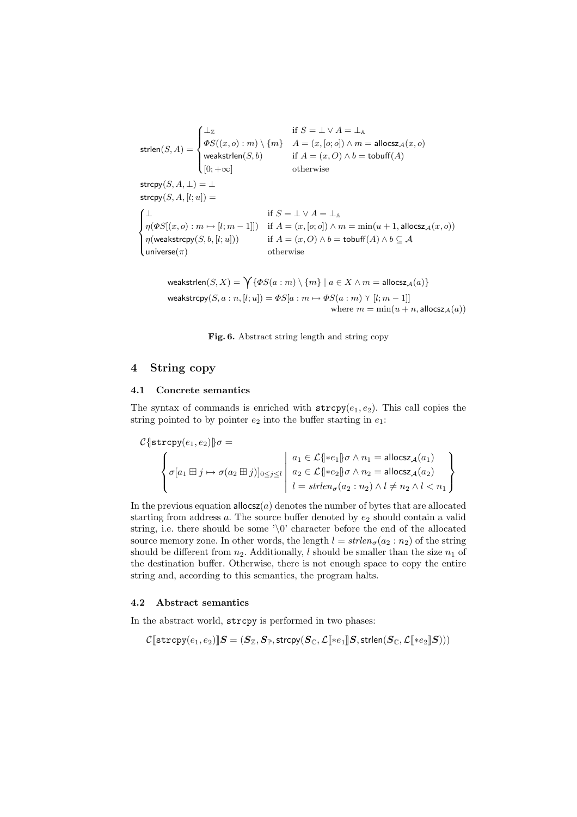$\mathsf{strlen}(S,A) =$  $\sqrt{2}$  $\int$  $\downarrow$  $\perp_{\mathbb{Z}}$  if  $S = \perp \vee A = \perp_{\mathbb{A}}$  $\varPhi S((x,o):m)\setminus \{m\}$   $A=(x,[o;o])\wedge m=$  allocsz $_{\mathcal A}(x,o)$ weakstrlen $(S, b)$  if  $A = (x, O) \wedge b = \text{tobuff}(A)$  $[0; +\infty]$  otherwise strcpy $(S, A, \perp) = \perp$  $\mathsf{strcpy}(S, A, [l; u]) =$  $\sqrt{2}$  $\int$  $\downarrow$ ⊥ if  $S = \perp \vee A = \perp$ <sub>A</sub>  $\eta(\Phi S[(x, o): m \mapsto [l; m - 1]])$  if  $A = (x, [o; o]) \wedge m = \min(u + 1, \text{allowsz}_{\mathcal{A}}(x, o))$  $\eta({\mathsf{weak}}\mathsf{strcpy}(S, b, [l; u])) \qquad\qquad\text{if}\ A = (x,O) \land b = \textsf{tobuff}(A) \land b \subseteq \mathcal{A}$ universe $(\pi)$  otherwise

$$
\text{weakstrlen}(S, X) = \bigvee \{ \Phi S(a : m) \setminus \{m\} \mid a \in X \land m = \text{allocsz}_{\mathcal{A}}(a) \}
$$
\n
$$
\text{weakstrcpy}(S, a : n, [l; u]) = \Phi S[a : m \mapsto \Phi S(a : m) \times [l; m - 1]]
$$
\n
$$
\text{where } m = \min(u + n, \text{allocsz}_{\mathcal{A}}(a))
$$

Fig. 6. Abstract string length and string copy

## 4 String copy

#### 4.1 Concrete semantics

The syntax of commands is enriched with  $\text{strcpy}(e_1, e_2)$ . This call copies the string pointed to by pointer  $e_2$  into the buffer starting in  $e_1$ :

$$
\mathcal{C}\{\text{strcpy}(e_1, e_2)\}\sigma = \left\{\n\begin{array}{l}\n\sigma[\text{at } j \mapsto \sigma(a_2 \boxplus j)]_{0 \leq j \leq l} \mid a_1 \in \mathcal{L}\{\text{*}e_1\} \sigma \wedge n_1 = \text{allocsz}_{\mathcal{A}}(a_1) \\
a_2 \in \mathcal{L}\{\text{*}e_2\} \sigma \wedge n_2 = \text{allocsz}_{\mathcal{A}}(a_2) \\
l = \text{strlen}_{\sigma}(a_2 : n_2) \wedge l \neq n_2 \wedge l < n_1\n\end{array}\n\right\}
$$

In the previous equation allocsz $(a)$  denotes the number of bytes that are allocated starting from address  $a$ . The source buffer denoted by  $e_2$  should contain a valid string, i.e. there should be some  $\sqrt{0}$  character before the end of the allocated source memory zone. In other words, the length  $l = strlen_{\sigma}(a_2 : n_2)$  of the string should be different from  $n_2$ . Additionally, l should be smaller than the size  $n_1$  of the destination buffer. Otherwise, there is not enough space to copy the entire string and, according to this semantics, the program halts.

## 4.2 Abstract semantics

In the abstract world, strcpy is performed in two phases:

$$
\mathcal{C}[\![\texttt{strcpy}(e_1,e_2)]\!]\bm{S} = (\bm{S}_{\mathbb{Z}},\bm{S}_{\mathbb{P}},\texttt{strcpy}(\bm{S}_{\mathbb{C}},\mathcal{L}[\![*e_1]\!] \bm{S},\texttt{strlen}(\bm{S}_{\mathbb{C}},\mathcal{L}[\![*e_2]\!] \bm{S})))
$$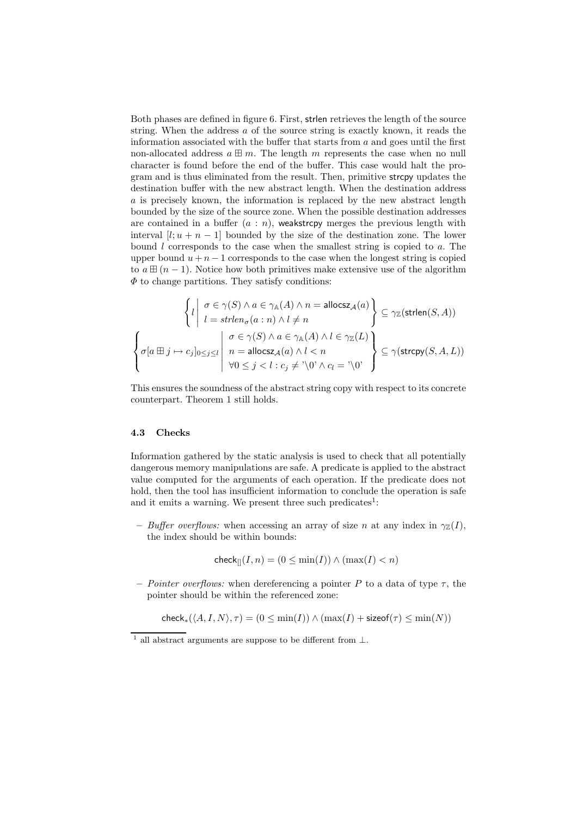Both phases are defined in figure 6. First, strlen retrieves the length of the source string. When the address a of the source string is exactly known, it reads the information associated with the buffer that starts from  $a$  and goes until the first non-allocated address  $a \boxplus m$ . The length m represents the case when no null character is found before the end of the buffer. This case would halt the program and is thus eliminated from the result. Then, primitive strcpy updates the destination buffer with the new abstract length. When the destination address a is precisely known, the information is replaced by the new abstract length bounded by the size of the source zone. When the possible destination addresses are contained in a buffer  $(a : n)$ , weakstropy merges the previous length with interval  $[l; u + n - 1]$  bounded by the size of the destination zone. The lower bound  $l$  corresponds to the case when the smallest string is copied to  $a$ . The upper bound  $u + n - 1$  corresponds to the case when the longest string is copied to  $a \boxplus (n-1)$ . Notice how both primitives make extensive use of the algorithm  $\Phi$  to change partitions. They satisfy conditions:

$$
\left\{ l \mid \begin{array}{l} \sigma \in \gamma(S) \land a \in \gamma_{\mathbb{A}}(A) \land n = \text{allocsz}_{\mathcal{A}}(a) \\ l = \text{strlen}_{\sigma}(a:n) \land l \neq n \end{array} \right\} \subseteq \gamma_{\mathbb{Z}}(\text{strlen}(S, A))
$$

$$
\left\{ \sigma[a \boxplus j \mapsto c_{j}]_{0 \leq j \leq l} \middle| \begin{array}{l} \sigma \in \gamma(S) \land a \in \gamma_{\mathbb{A}}(A) \land l \in \gamma_{\mathbb{Z}}(L) \\ n = \text{allocsz}_{\mathcal{A}}(a) \land l < n \\ \forall 0 \leq j < l : c_{j} \neq \text{'} \backslash 0 \land c_{l} = \text{'} \backslash 0 \end{array} \right\} \subseteq \gamma(\text{strcpy}(S, A, L))
$$

This ensures the soundness of the abstract string copy with respect to its concrete counterpart. Theorem 1 still holds.

#### 4.3 Checks

Information gathered by the static analysis is used to check that all potentially dangerous memory manipulations are safe. A predicate is applied to the abstract value computed for the arguments of each operation. If the predicate does not hold, then the tool has insufficient information to conclude the operation is safe. and it emits a warning. We present three such predicates<sup>1</sup>:

– Buffer overflows: when accessing an array of size n at any index in  $\gamma_{\mathbb{Z}}(I)$ , the index should be within bounds:

$$
\mathsf{check}_{[]}(I, n) = (0 \le \min(I)) \land (\max(I) < n)
$$

– Pointer overflows: when dereferencing a pointer P to a data of type  $\tau$ , the pointer should be within the referenced zone:

 $\mathsf{check}_*((A, I, N), \tau) = (0 \le \min(I)) \wedge (\max(I) + \mathsf{sizeof}(\tau) \le \min(N))$ 

 $^1$  all abstract arguments are suppose to be different from  $\bot.$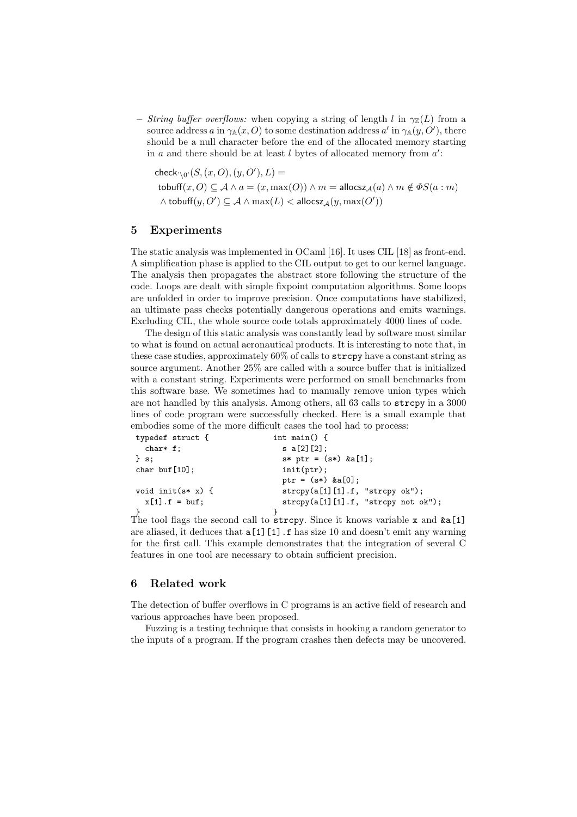– String buffer overflows: when copying a string of length l in  $\gamma_{\mathbb{Z}}(L)$  from a source address a in  $\gamma_{\mathbb{A}}(x,0)$  to some destination address a' in  $\gamma_{\mathbb{A}}(y,0')$ , there should be a null character before the end of the allocated memory starting in  $a$  and there should be at least  $l$  bytes of allocated memory from  $a'$ :

 $\mathsf{check}_{\{0\}}(S,(x,O),(y,O'),L) =$ tobuff $(x, 0) \subseteq A \land a = (x, \max(0)) \land m = \text{allocsz}_{\mathcal{A}}(a) \land m \notin \Phi S(a : m)$  $\wedge$  tobuff $(y, O') \subseteq \mathcal{A} \wedge \max(L) < \mathsf{allocsz}_{\mathcal{A}}(y, \max(O'))$ 

## 5 Experiments

The static analysis was implemented in OCaml [16]. It uses CIL [18] as front-end. A simplification phase is applied to the CIL output to get to our kernel language. The analysis then propagates the abstract store following the structure of the code. Loops are dealt with simple fixpoint computation algorithms. Some loops are unfolded in order to improve precision. Once computations have stabilized, an ultimate pass checks potentially dangerous operations and emits warnings. Excluding CIL, the whole source code totals approximately 4000 lines of code.

The design of this static analysis was constantly lead by software most similar to what is found on actual aeronautical products. It is interesting to note that, in these case studies, approximately  $60\%$  of calls to  $\text{strcpy}$  have a constant string as source argument. Another 25% are called with a source buffer that is initialized with a constant string. Experiments were performed on small benchmarks from this software base. We sometimes had to manually remove union types which are not handled by this analysis. Among others, all 63 calls to strcpy in a 3000 lines of code program were successfully checked. Here is a small example that embodies some of the more difficult cases the tool had to process:

| typedef struct {     | int main() $\{$                                      |
|----------------------|------------------------------------------------------|
| $char* f$ ;          | s a[2][2];                                           |
| $\}$ s:              | $s*$ ptr = $(s*)$ &a[1];                             |
| char buf $[10]$ ;    | $init(pt)$ ;                                         |
|                      | $ptr = (s*)$ & a [0];                                |
| void init( $s*$ x) { | $\text{strcpy}(a[1][1].f, \text{ "strcpy ok"});$     |
| $x[1]$ .f = buf;     | $\text{strcpy}(a[1][1].f, \text{ "strcpy not ok");}$ |
|                      |                                                      |

} } The tool flags the second call to strcpy. Since it knows variable x and &a[1] are aliased, it deduces that a[1][1].f has size 10 and doesn't emit any warning for the first call. This example demonstrates that the integration of several C features in one tool are necessary to obtain sufficient precision.

## 6 Related work

The detection of buffer overflows in C programs is an active field of research and various approaches have been proposed.

Fuzzing is a testing technique that consists in hooking a random generator to the inputs of a program. If the program crashes then defects may be uncovered.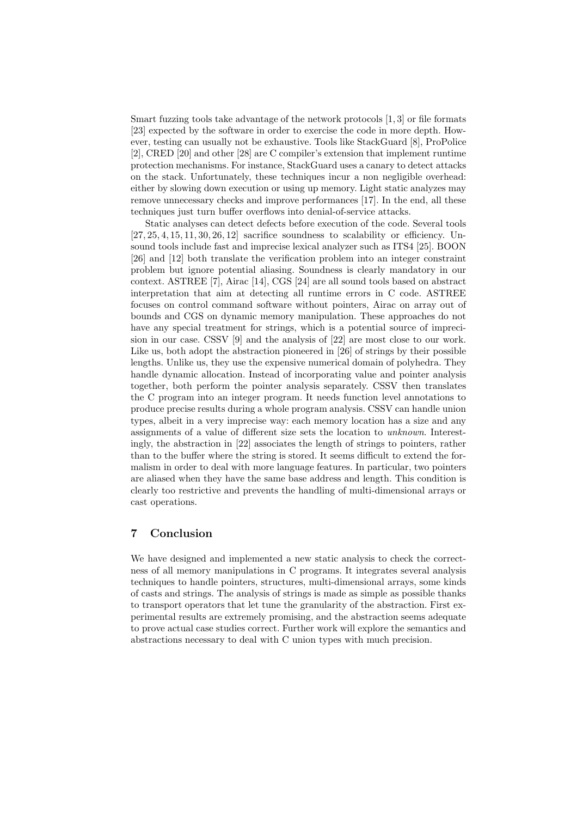Smart fuzzing tools take advantage of the network protocols [1, 3] or file formats [23] expected by the software in order to exercise the code in more depth. However, testing can usually not be exhaustive. Tools like StackGuard [8], ProPolice [2], CRED [20] and other [28] are C compiler's extension that implement runtime protection mechanisms. For instance, StackGuard uses a canary to detect attacks on the stack. Unfortunately, these techniques incur a non negligible overhead: either by slowing down execution or using up memory. Light static analyzes may remove unnecessary checks and improve performances [17]. In the end, all these techniques just turn buffer overflows into denial-of-service attacks.

Static analyses can detect defects before execution of the code. Several tools  $[27, 25, 4, 15, 11, 30, 26, 12]$  sacrifice soundness to scalability or efficiency. Unsound tools include fast and imprecise lexical analyzer such as ITS4 [25]. BOON [26] and [12] both translate the verification problem into an integer constraint problem but ignore potential aliasing. Soundness is clearly mandatory in our context. ASTREE [7], Airac [14], CGS [24] are all sound tools based on abstract interpretation that aim at detecting all runtime errors in C code. ASTREE focuses on control command software without pointers, Airac on array out of bounds and CGS on dynamic memory manipulation. These approaches do not have any special treatment for strings, which is a potential source of imprecision in our case. CSSV [9] and the analysis of [22] are most close to our work. Like us, both adopt the abstraction pioneered in [26] of strings by their possible lengths. Unlike us, they use the expensive numerical domain of polyhedra. They handle dynamic allocation. Instead of incorporating value and pointer analysis together, both perform the pointer analysis separately. CSSV then translates the C program into an integer program. It needs function level annotations to produce precise results during a whole program analysis. CSSV can handle union types, albeit in a very imprecise way: each memory location has a size and any assignments of a value of different size sets the location to unknown. Interestingly, the abstraction in [22] associates the length of strings to pointers, rather than to the buffer where the string is stored. It seems difficult to extend the formalism in order to deal with more language features. In particular, two pointers are aliased when they have the same base address and length. This condition is clearly too restrictive and prevents the handling of multi-dimensional arrays or cast operations.

## 7 Conclusion

We have designed and implemented a new static analysis to check the correctness of all memory manipulations in C programs. It integrates several analysis techniques to handle pointers, structures, multi-dimensional arrays, some kinds of casts and strings. The analysis of strings is made as simple as possible thanks to transport operators that let tune the granularity of the abstraction. First experimental results are extremely promising, and the abstraction seems adequate to prove actual case studies correct. Further work will explore the semantics and abstractions necessary to deal with C union types with much precision.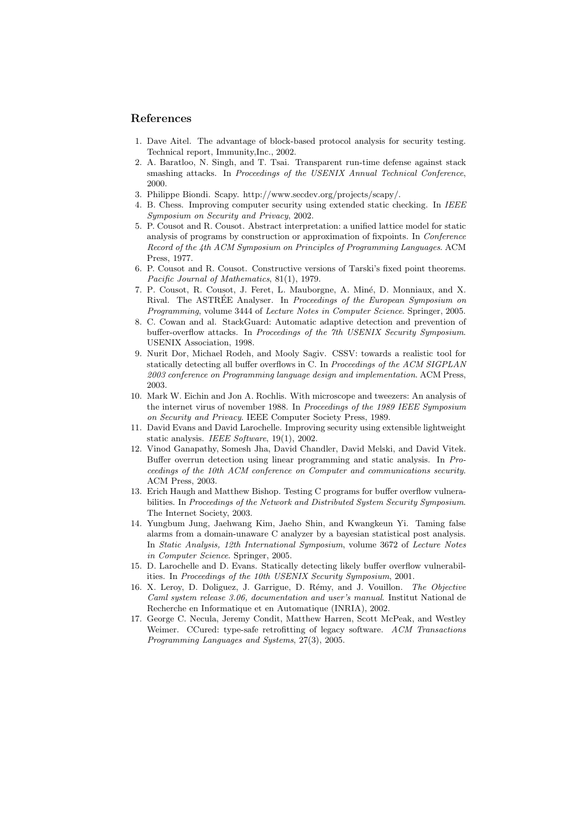## References

- 1. Dave Aitel. The advantage of block-based protocol analysis for security testing. Technical report, Immunity,Inc., 2002.
- 2. A. Baratloo, N. Singh, and T. Tsai. Transparent run-time defense against stack smashing attacks. In Proceedings of the USENIX Annual Technical Conference, 2000.
- 3. Philippe Biondi. Scapy. http://www.secdev.org/projects/scapy/.
- 4. B. Chess. Improving computer security using extended static checking. In IEEE Symposium on Security and Privacy, 2002.
- 5. P. Cousot and R. Cousot. Abstract interpretation: a unified lattice model for static analysis of programs by construction or approximation of fixpoints. In Conference Record of the 4th ACM Symposium on Principles of Programming Languages. ACM Press, 1977.
- 6. P. Cousot and R. Cousot. Constructive versions of Tarski's fixed point theorems. Pacific Journal of Mathematics, 81(1), 1979.
- 7. P. Cousot, R. Cousot, J. Feret, L. Mauborgne, A. Miné, D. Monniaux, and X. Rival. The ASTRÉE Analyser. In Proceedings of the European Symposium on Programming, volume 3444 of Lecture Notes in Computer Science. Springer, 2005.
- 8. C. Cowan and al. StackGuard: Automatic adaptive detection and prevention of buffer-overflow attacks. In Proceedings of the 7th USENIX Security Symposium. USENIX Association, 1998.
- 9. Nurit Dor, Michael Rodeh, and Mooly Sagiv. CSSV: towards a realistic tool for statically detecting all buffer overflows in C. In Proceedings of the ACM SIGPLAN 2003 conference on Programming language design and implementation. ACM Press, 2003.
- 10. Mark W. Eichin and Jon A. Rochlis. With microscope and tweezers: An analysis of the internet virus of november 1988. In Proceedings of the 1989 IEEE Symposium on Security and Privacy. IEEE Computer Society Press, 1989.
- 11. David Evans and David Larochelle. Improving security using extensible lightweight static analysis. IEEE Software, 19(1), 2002.
- 12. Vinod Ganapathy, Somesh Jha, David Chandler, David Melski, and David Vitek. Buffer overrun detection using linear programming and static analysis. In Proceedings of the 10th ACM conference on Computer and communications security. ACM Press, 2003.
- 13. Erich Haugh and Matthew Bishop. Testing C programs for buffer overflow vulnerabilities. In Proceedings of the Network and Distributed System Security Symposium. The Internet Society, 2003.
- 14. Yungbum Jung, Jaehwang Kim, Jaeho Shin, and Kwangkeun Yi. Taming false alarms from a domain-unaware C analyzer by a bayesian statistical post analysis. In Static Analysis, 12th International Symposium, volume 3672 of Lecture Notes in Computer Science. Springer, 2005.
- 15. D. Larochelle and D. Evans. Statically detecting likely buffer overflow vulnerabilities. In Proceedings of the 10th USENIX Security Symposium, 2001.
- 16. X. Leroy, D. Doliguez, J. Garrigue, D. Rémy, and J. Vouillon. The Objective Caml system release 3.06, documentation and user's manual. Institut National de Recherche en Informatique et en Automatique (INRIA), 2002.
- 17. George C. Necula, Jeremy Condit, Matthew Harren, Scott McPeak, and Westley Weimer. CCured: type-safe retrofitting of legacy software. ACM Transactions Programming Languages and Systems, 27(3), 2005.